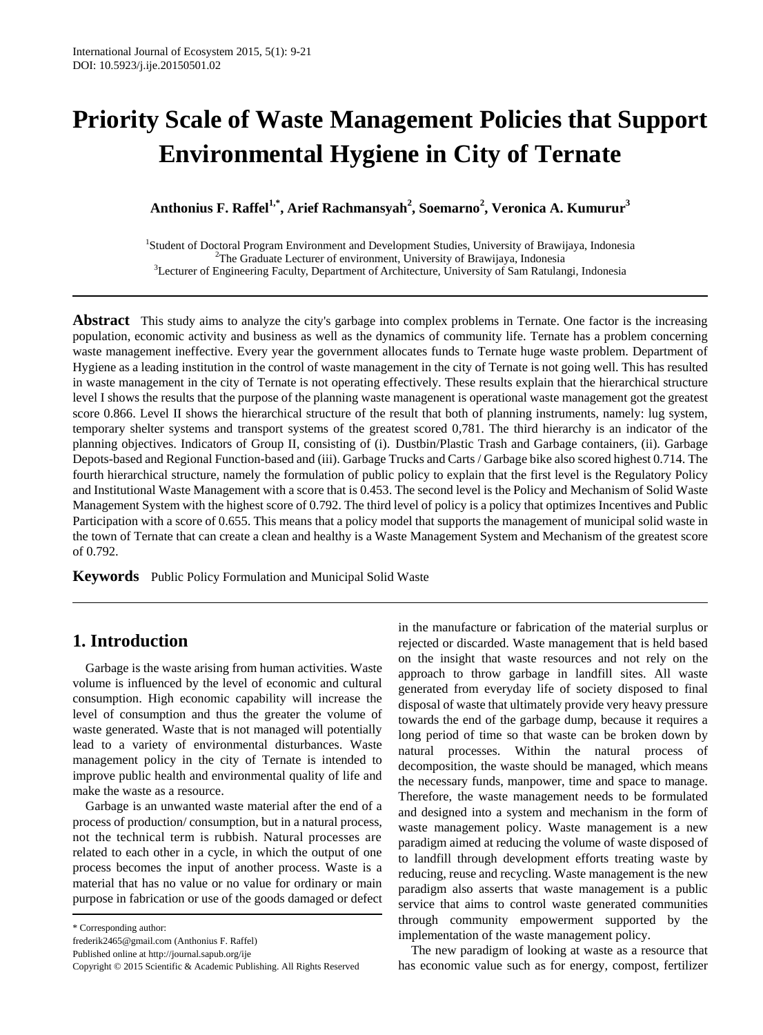# **Priority Scale of Waste Management Policies that Support Environmental Hygiene in City of Ternate**

**Anthonius F. Raffel1,\* , Arief Rachmansyah<sup>2</sup> , Soemarno<sup>2</sup> , Veronica A. Kumurur<sup>3</sup>**

1 Student of Doctoral Program Environment and Development Studies, University of Brawijaya, Indonesia <sup>2</sup>The Graduate Lecturer of environment, University of Brawijaya, Indonesia <sup>3</sup>Lecturer of Engineering Faculty, Department of Architecture, University of Sam Ratulangi, Indonesia

**Abstract** This study aims to analyze the city's garbage into complex problems in Ternate. One factor is the increasing population, economic activity and business as well as the dynamics of community life. Ternate has a problem concerning waste management ineffective. Every year the government allocates funds to Ternate huge waste problem. Department of Hygiene as a leading institution in the control of waste management in the city of Ternate is not going well. This has resulted in waste management in the city of Ternate is not operating effectively. These results explain that the hierarchical structure level I shows the results that the purpose of the planning waste managenent is operational waste management got the greatest score 0.866. Level II shows the hierarchical structure of the result that both of planning instruments, namely: lug system, temporary shelter systems and transport systems of the greatest scored 0,781. The third hierarchy is an indicator of the planning objectives. Indicators of Group II, consisting of (i). Dustbin/Plastic Trash and Garbage containers, (ii). Garbage Depots-based and Regional Function-based and (iii). Garbage Trucks and Carts / Garbage bike also scored highest 0.714. The fourth hierarchical structure, namely the formulation of public policy to explain that the first level is the Regulatory Policy and Institutional Waste Management with a score that is 0.453. The second level is the Policy and Mechanism of Solid Waste Management System with the highest score of 0.792. The third level of policy is a policy that optimizes Incentives and Public Participation with a score of 0.655. This means that a policy model that supports the management of municipal solid waste in the town of Ternate that can create a clean and healthy is a Waste Management System and Mechanism of the greatest score of 0.792.

**Keywords** Public Policy Formulation and Municipal Solid Waste

## **1. Introduction**

Garbage is the waste arising from human activities. Waste volume is influenced by the level of economic and cultural consumption. High economic capability will increase the level of consumption and thus the greater the volume of waste generated. Waste that is not managed will potentially lead to a variety of environmental disturbances. Waste management policy in the city of Ternate is intended to improve public health and environmental quality of life and make the waste as a resource.

Garbage is an unwanted waste material after the end of a process of production/ consumption, but in a natural process, not the technical term is rubbish. Natural processes are related to each other in a cycle, in which the output of one process becomes the input of another process. Waste is a material that has no value or no value for ordinary or main purpose in fabrication or use of the goods damaged or defect

\* Corresponding author:

in the manufacture or fabrication of the material surplus or rejected or discarded. Waste management that is held based on the insight that waste resources and not rely on the approach to throw garbage in landfill sites. All waste generated from everyday life of society disposed to final disposal of waste that ultimately provide very heavy pressure towards the end of the garbage dump, because it requires a long period of time so that waste can be broken down by natural processes. Within the natural process of decomposition, the waste should be managed, which means the necessary funds, manpower, time and space to manage. Therefore, the waste management needs to be formulated and designed into a system and mechanism in the form of waste management policy. Waste management is a new paradigm aimed at reducing the volume of waste disposed of to landfill through development efforts treating waste by reducing, reuse and recycling. Waste management is the new paradigm also asserts that waste management is a public service that aims to control waste generated communities through community empowerment supported by the implementation of the waste management policy.

The new paradigm of looking at waste as a resource that has economic value such as for energy, compost, fertilizer

frederik2465@gmail.com (Anthonius F. Raffel)

Published online at http://journal.sapub.org/ije

Copyright © 2015 Scientific & Academic Publishing. All Rights Reserved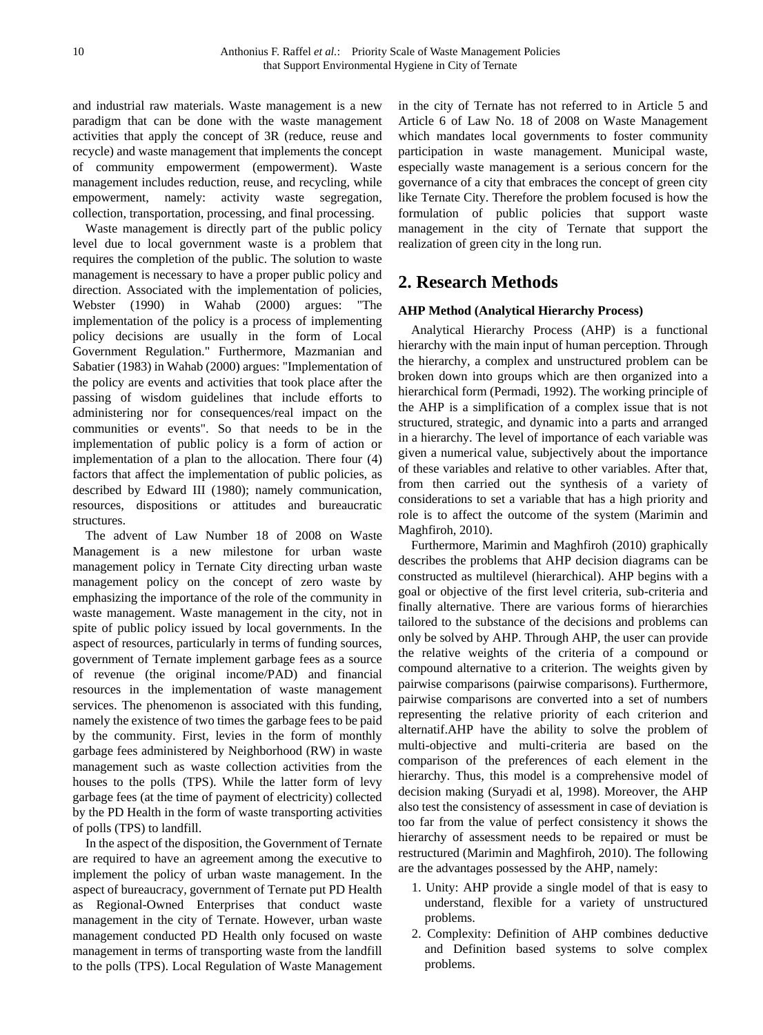and industrial raw materials. Waste management is a new paradigm that can be done with the waste management activities that apply the concept of 3R (reduce, reuse and recycle) and waste management that implements the concept of community empowerment (empowerment). Waste management includes reduction, reuse, and recycling, while empowerment, namely: activity waste segregation, collection, transportation, processing, and final processing.

Waste management is directly part of the public policy level due to local government waste is a problem that requires the completion of the public. The solution to waste management is necessary to have a proper public policy and direction. Associated with the implementation of policies, Webster (1990) in Wahab (2000) argues: "The implementation of the policy is a process of implementing policy decisions are usually in the form of Local Government Regulation." Furthermore, Mazmanian and Sabatier (1983) in Wahab (2000) argues: "Implementation of the policy are events and activities that took place after the passing of wisdom guidelines that include efforts to administering nor for consequences/real impact on the communities or events". So that needs to be in the implementation of public policy is a form of action or implementation of a plan to the allocation. There four (4) factors that affect the implementation of public policies, as described by Edward III (1980); namely communication, resources, dispositions or attitudes and bureaucratic structures.

The advent of Law Number 18 of 2008 on Waste Management is a new milestone for urban waste management policy in Ternate City directing urban waste management policy on the concept of zero waste by emphasizing the importance of the role of the community in waste management. Waste management in the city, not in spite of public policy issued by local governments. In the aspect of resources, particularly in terms of funding sources, government of Ternate implement garbage fees as a source of revenue (the original income/PAD) and financial resources in the implementation of waste management services. The phenomenon is associated with this funding, namely the existence of two times the garbage fees to be paid by the community. First, levies in the form of monthly garbage fees administered by Neighborhood (RW) in waste management such as waste collection activities from the houses to the polls (TPS). While the latter form of levy garbage fees (at the time of payment of electricity) collected by the PD Health in the form of waste transporting activities of polls (TPS) to landfill.

In the aspect of the disposition, the Government of Ternate are required to have an agreement among the executive to implement the policy of urban waste management. In the aspect of bureaucracy, government of Ternate put PD Health as Regional-Owned Enterprises that conduct waste management in the city of Ternate. However, urban waste management conducted PD Health only focused on waste management in terms of transporting waste from the landfill to the polls (TPS). Local Regulation of Waste Management

in the city of Ternate has not referred to in Article 5 and Article 6 of Law No. 18 of 2008 on Waste Management which mandates local governments to foster community participation in waste management. Municipal waste, especially waste management is a serious concern for the governance of a city that embraces the concept of green city like Ternate City. Therefore the problem focused is how the formulation of public policies that support waste management in the city of Ternate that support the realization of green city in the long run.

## **2. Research Methods**

#### **AHP Method (Analytical Hierarchy Process)**

Analytical Hierarchy Process (AHP) is a functional hierarchy with the main input of human perception. Through the hierarchy, a complex and unstructured problem can be broken down into groups which are then organized into a hierarchical form (Permadi, 1992). The working principle of the AHP is a simplification of a complex issue that is not structured, strategic, and dynamic into a parts and arranged in a hierarchy. The level of importance of each variable was given a numerical value, subjectively about the importance of these variables and relative to other variables. After that, from then carried out the synthesis of a variety of considerations to set a variable that has a high priority and role is to affect the outcome of the system (Marimin and Maghfiroh, 2010).

Furthermore, Marimin and Maghfiroh (2010) graphically describes the problems that AHP decision diagrams can be constructed as multilevel (hierarchical). AHP begins with a goal or objective of the first level criteria, sub-criteria and finally alternative. There are various forms of hierarchies tailored to the substance of the decisions and problems can only be solved by AHP. Through AHP, the user can provide the relative weights of the criteria of a compound or compound alternative to a criterion. The weights given by pairwise comparisons (pairwise comparisons). Furthermore, pairwise comparisons are converted into a set of numbers representing the relative priority of each criterion and alternatif.AHP have the ability to solve the problem of multi-objective and multi-criteria are based on the comparison of the preferences of each element in the hierarchy. Thus, this model is a comprehensive model of decision making (Suryadi et al, 1998). Moreover, the AHP also test the consistency of assessment in case of deviation is too far from the value of perfect consistency it shows the hierarchy of assessment needs to be repaired or must be restructured (Marimin and Maghfiroh, 2010). The following are the advantages possessed by the AHP, namely:

- 1. Unity: AHP provide a single model of that is easy to understand, flexible for a variety of unstructured problems.
- 2. Complexity: Definition of AHP combines deductive and Definition based systems to solve complex problems.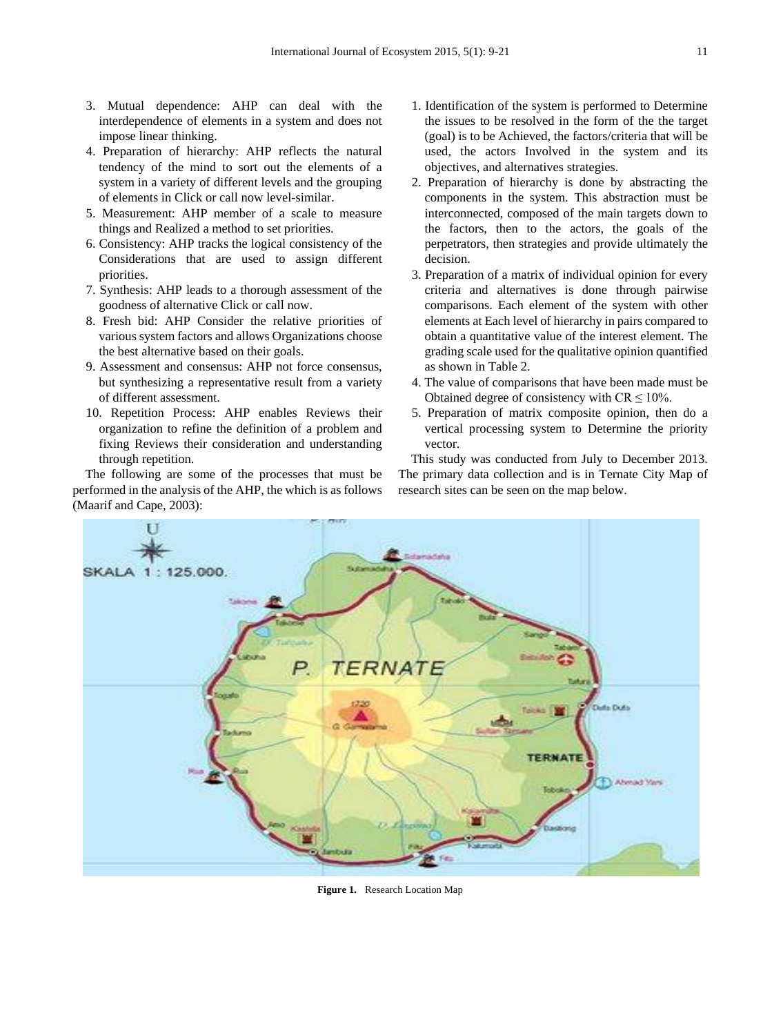- 3. Mutual dependence: AHP can deal with the interdependence of elements in a system and does not impose linear thinking.
- 4. Preparation of hierarchy: AHP reflects the natural tendency of the mind to sort out the elements of a system in a variety of different levels and the grouping of elements in Click or call now level-similar.
- 5. Measurement: AHP member of a scale to measure things and Realized a method to set priorities.
- 6. Consistency: AHP tracks the logical consistency of the Considerations that are used to assign different priorities.
- 7. Synthesis: AHP leads to a thorough assessment of the goodness of alternative Click or call now.
- 8. Fresh bid: AHP Consider the relative priorities of various system factors and allows Organizations choose the best alternative based on their goals.
- 9. Assessment and consensus: AHP not force consensus, but synthesizing a representative result from a variety of different assessment.
- 10. Repetition Process: AHP enables Reviews their organization to refine the definition of a problem and fixing Reviews their consideration and understanding through repetition.

The following are some of the processes that must be performed in the analysis of the AHP, the which is as follows (Maarif and Cape, 2003):

- 1. Identification of the system is performed to Determine the issues to be resolved in the form of the the target (goal) is to be Achieved, the factors/criteria that will be used, the actors Involved in the system and its objectives, and alternatives strategies.
- 2. Preparation of hierarchy is done by abstracting the components in the system. This abstraction must be interconnected, composed of the main targets down to the factors, then to the actors, the goals of the perpetrators, then strategies and provide ultimately the decision.
- 3. Preparation of a matrix of individual opinion for every criteria and alternatives is done through pairwise comparisons. Each element of the system with other elements at Each level of hierarchy in pairs compared to obtain a quantitative value of the interest element. The grading scale used for the qualitative opinion quantified as shown in Table 2.
- 4. The value of comparisons that have been made must be Obtained degree of consistency with  $CR \le 10\%$ .
- 5. Preparation of matrix composite opinion, then do a vertical processing system to Determine the priority vector.

This study was conducted from July to December 2013. The primary data collection and is in Ternate City Map of research sites can be seen on the map below.



**Figure 1.** Research Location Map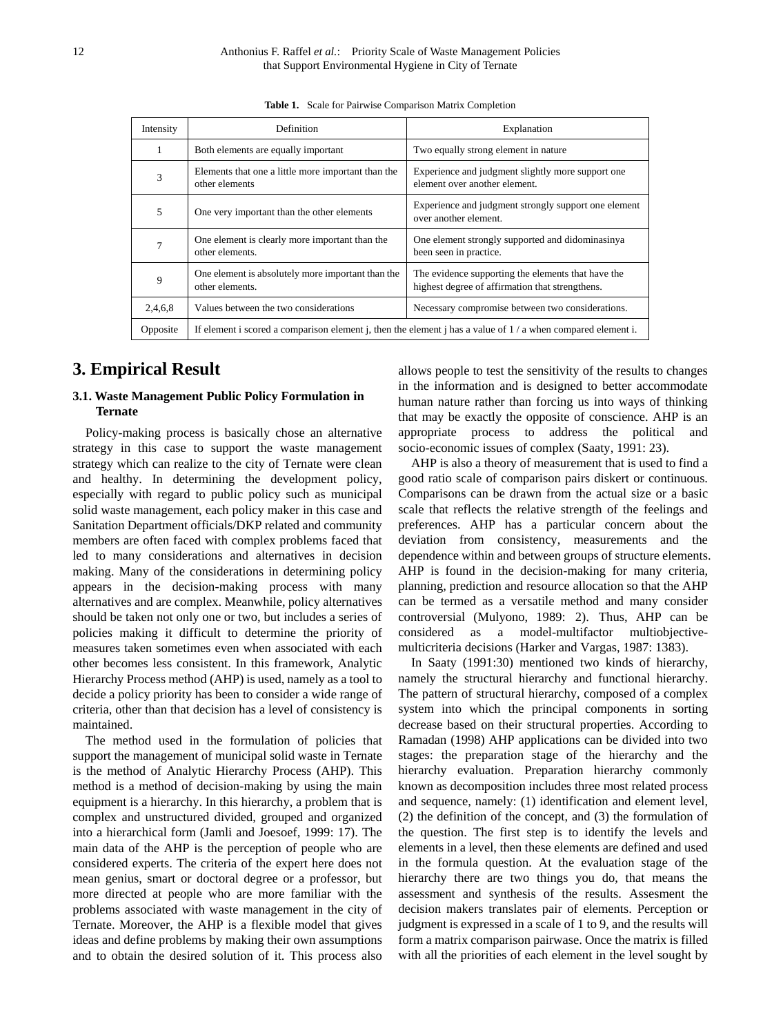| Intensity | <b>Definition</b>                                                                                            | Explanation                                                                                           |  |
|-----------|--------------------------------------------------------------------------------------------------------------|-------------------------------------------------------------------------------------------------------|--|
|           | Both elements are equally important                                                                          | Two equally strong element in nature                                                                  |  |
| 3         | Elements that one a little more important than the<br>other elements                                         | Experience and judgment slightly more support one<br>element over another element.                    |  |
| 5         | One very important than the other elements                                                                   | Experience and judgment strongly support one element<br>over another element.                         |  |
|           | One element is clearly more important than the<br>other elements.                                            | One element strongly supported and didominasinya<br>been seen in practice.                            |  |
| 9         | One element is absolutely more important than the<br>other elements.                                         | The evidence supporting the elements that have the<br>highest degree of affirmation that strengthens. |  |
| 2,4,6,8   | Values between the two considerations                                                                        | Necessary compromise between two considerations.                                                      |  |
| Opposite  | If element i scored a comparison element j, then the element j has a value of $1/a$ when compared element i. |                                                                                                       |  |

**Table 1.** Scale for Pairwise Comparison Matrix Completion

## **3. Empirical Result**

#### **3.1. Waste Management Public Policy Formulation in Ternate**

Policy-making process is basically chose an alternative strategy in this case to support the waste management strategy which can realize to the city of Ternate were clean and healthy. In determining the development policy, especially with regard to public policy such as municipal solid waste management, each policy maker in this case and Sanitation Department officials/DKP related and community members are often faced with complex problems faced that led to many considerations and alternatives in decision making. Many of the considerations in determining policy appears in the decision-making process with many alternatives and are complex. Meanwhile, policy alternatives should be taken not only one or two, but includes a series of policies making it difficult to determine the priority of measures taken sometimes even when associated with each other becomes less consistent. In this framework, Analytic Hierarchy Process method (AHP) is used, namely as a tool to decide a policy priority has been to consider a wide range of criteria, other than that decision has a level of consistency is maintained.

The method used in the formulation of policies that support the management of municipal solid waste in Ternate is the method of Analytic Hierarchy Process (AHP). This method is a method of decision-making by using the main equipment is a hierarchy. In this hierarchy, a problem that is complex and unstructured divided, grouped and organized into a hierarchical form (Jamli and Joesoef, 1999: 17). The main data of the AHP is the perception of people who are considered experts. The criteria of the expert here does not mean genius, smart or doctoral degree or a professor, but more directed at people who are more familiar with the problems associated with waste management in the city of Ternate. Moreover, the AHP is a flexible model that gives ideas and define problems by making their own assumptions and to obtain the desired solution of it. This process also

allows people to test the sensitivity of the results to changes in the information and is designed to better accommodate human nature rather than forcing us into ways of thinking that may be exactly the opposite of conscience. AHP is an appropriate process to address the political and socio-economic issues of complex (Saaty, 1991: 23).

AHP is also a theory of measurement that is used to find a good ratio scale of comparison pairs diskert or continuous. Comparisons can be drawn from the actual size or a basic scale that reflects the relative strength of the feelings and preferences. AHP has a particular concern about the deviation from consistency, measurements and the dependence within and between groups of structure elements. AHP is found in the decision-making for many criteria, planning, prediction and resource allocation so that the AHP can be termed as a versatile method and many consider controversial (Mulyono, 1989: 2). Thus, AHP can be considered as a model-multifactor multiobjectivemulticriteria decisions (Harker and Vargas, 1987: 1383).

In Saaty (1991:30) mentioned two kinds of hierarchy, namely the structural hierarchy and functional hierarchy. The pattern of structural hierarchy, composed of a complex system into which the principal components in sorting decrease based on their structural properties. According to Ramadan (1998) AHP applications can be divided into two stages: the preparation stage of the hierarchy and the hierarchy evaluation. Preparation hierarchy commonly known as decomposition includes three most related process and sequence, namely: (1) identification and element level, (2) the definition of the concept, and (3) the formulation of the question. The first step is to identify the levels and elements in a level, then these elements are defined and used in the formula question. At the evaluation stage of the hierarchy there are two things you do, that means the assessment and synthesis of the results. Assesment the decision makers translates pair of elements. Perception or judgment is expressed in a scale of 1 to 9, and the results will form a matrix comparison pairwase. Once the matrix is filled with all the priorities of each element in the level sought by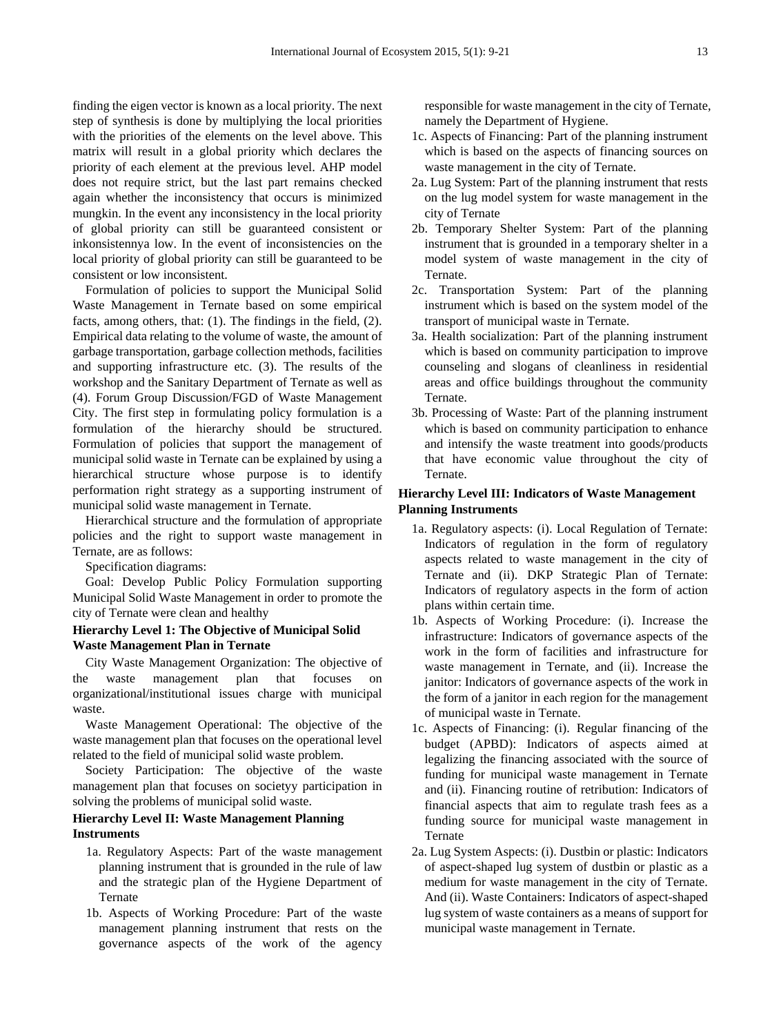finding the eigen vector is known as a local priority. The next step of synthesis is done by multiplying the local priorities with the priorities of the elements on the level above. This matrix will result in a global priority which declares the priority of each element at the previous level. AHP model does not require strict, but the last part remains checked again whether the inconsistency that occurs is minimized mungkin. In the event any inconsistency in the local priority of global priority can still be guaranteed consistent or inkonsistennya low. In the event of inconsistencies on the local priority of global priority can still be guaranteed to be consistent or low inconsistent.

Formulation of policies to support the Municipal Solid Waste Management in Ternate based on some empirical facts, among others, that: (1). The findings in the field, (2). Empirical data relating to the volume of waste, the amount of garbage transportation, garbage collection methods, facilities and supporting infrastructure etc. (3). The results of the workshop and the Sanitary Department of Ternate as well as (4). Forum Group Discussion/FGD of Waste Management City. The first step in formulating policy formulation is a formulation of the hierarchy should be structured. Formulation of policies that support the management of municipal solid waste in Ternate can be explained by using a hierarchical structure whose purpose is to identify performation right strategy as a supporting instrument of municipal solid waste management in Ternate.

Hierarchical structure and the formulation of appropriate policies and the right to support waste management in Ternate, are as follows:

Specification diagrams:

Goal: Develop Public Policy Formulation supporting Municipal Solid Waste Management in order to promote the city of Ternate were clean and healthy

#### **Hierarchy Level 1: The Objective of Municipal Solid Waste Management Plan in Ternate**

City Waste Management Organization: The objective of the waste management plan that focuses on organizational/institutional issues charge with municipal waste.

Waste Management Operational: The objective of the waste management plan that focuses on the operational level related to the field of municipal solid waste problem.

Society Participation: The objective of the waste management plan that focuses on societyy participation in solving the problems of municipal solid waste.

#### **Hierarchy Level II: Waste Management Planning Instruments**

- 1a. Regulatory Aspects: Part of the waste management planning instrument that is grounded in the rule of law and the strategic plan of the Hygiene Department of Ternate
- 1b. Aspects of Working Procedure: Part of the waste management planning instrument that rests on the governance aspects of the work of the agency

responsible for waste management in the city of Ternate, namely the Department of Hygiene.

- 1c. Aspects of Financing: Part of the planning instrument which is based on the aspects of financing sources on waste management in the city of Ternate.
- 2a. Lug System: Part of the planning instrument that rests on the lug model system for waste management in the city of Ternate
- 2b. Temporary Shelter System: Part of the planning instrument that is grounded in a temporary shelter in a model system of waste management in the city of Ternate.
- 2c. Transportation System: Part of the planning instrument which is based on the system model of the transport of municipal waste in Ternate.
- 3a. Health socialization: Part of the planning instrument which is based on community participation to improve counseling and slogans of cleanliness in residential areas and office buildings throughout the community Ternate.
- 3b. Processing of Waste: Part of the planning instrument which is based on community participation to enhance and intensify the waste treatment into goods/products that have economic value throughout the city of Ternate.

#### **Hierarchy Level III: Indicators of Waste Management Planning Instruments**

- 1a. Regulatory aspects: (i). Local Regulation of Ternate: Indicators of regulation in the form of regulatory aspects related to waste management in the city of Ternate and (ii). DKP Strategic Plan of Ternate: Indicators of regulatory aspects in the form of action plans within certain time.
- 1b. Aspects of Working Procedure: (i). Increase the infrastructure: Indicators of governance aspects of the work in the form of facilities and infrastructure for waste management in Ternate, and (ii). Increase the janitor: Indicators of governance aspects of the work in the form of a janitor in each region for the management of municipal waste in Ternate.
- 1c. Aspects of Financing: (i). Regular financing of the budget (APBD): Indicators of aspects aimed at legalizing the financing associated with the source of funding for municipal waste management in Ternate and (ii). Financing routine of retribution: Indicators of financial aspects that aim to regulate trash fees as a funding source for municipal waste management in Ternate
- 2a. Lug System Aspects: (i). Dustbin or plastic: Indicators of aspect-shaped lug system of dustbin or plastic as a medium for waste management in the city of Ternate. And (ii). Waste Containers: Indicators of aspect-shaped lug system of waste containers as a means of support for municipal waste management in Ternate.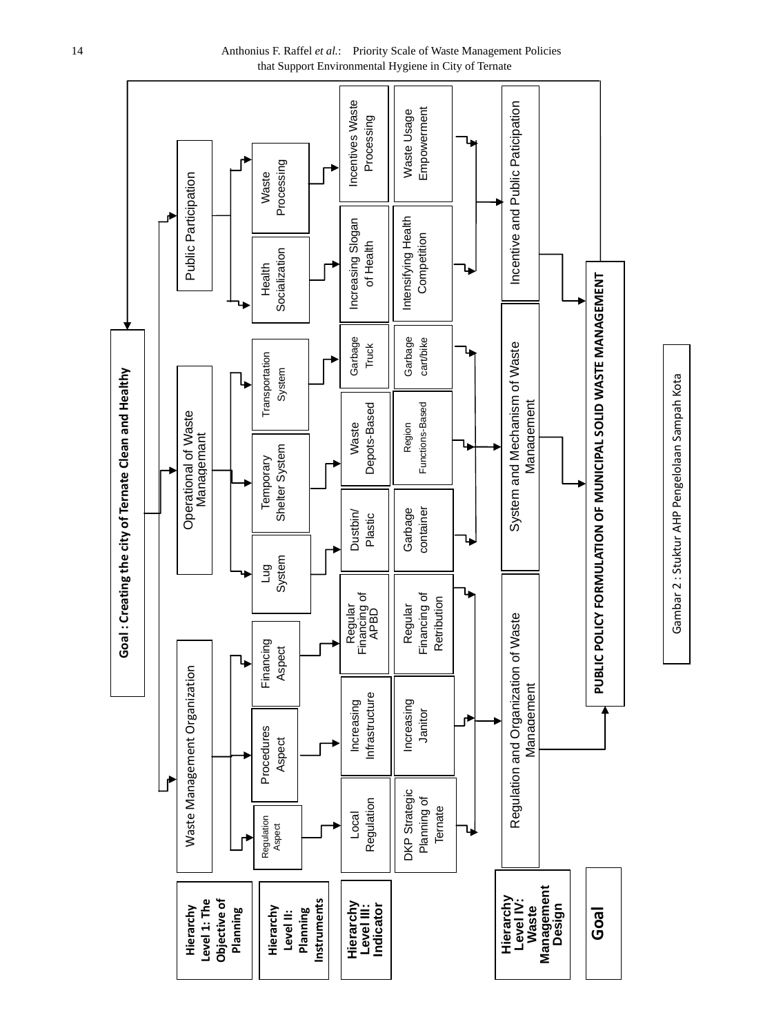

Gambar 2 : Stuktur AHP Pengelolaan Sampah Kota

Gambar 2: Stuktur AHP Pengelolaan Sampah Kota

14 Anthonius F. Raffel *et al.*: Priority Scale of Waste Management Policies that Support Environmental Hygiene in City of Ternate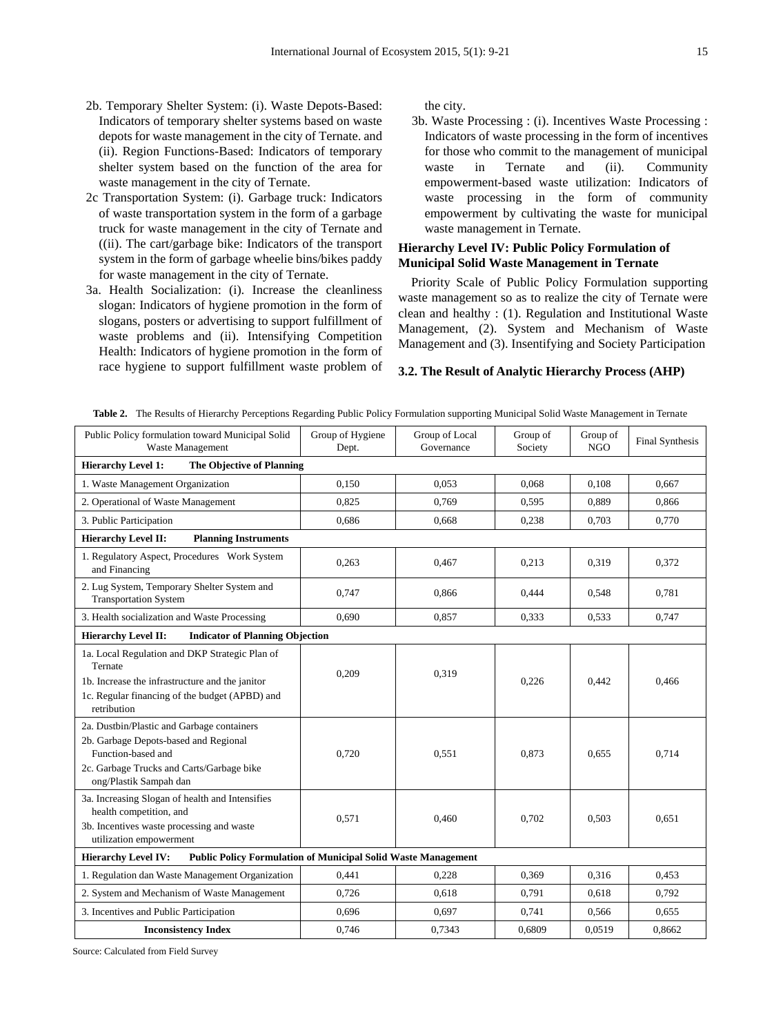- 2b. Temporary Shelter System: (i). Waste Depots-Based: Indicators of temporary shelter systems based on waste depots for waste management in the city of Ternate. and (ii). Region Functions-Based: Indicators of temporary shelter system based on the function of the area for waste management in the city of Ternate.
- 2c Transportation System: (i). Garbage truck: Indicators of waste transportation system in the form of a garbage truck for waste management in the city of Ternate and ((ii). The cart/garbage bike: Indicators of the transport system in the form of garbage wheelie bins/bikes paddy for waste management in the city of Ternate.
- 3a. Health Socialization: (i). Increase the cleanliness slogan: Indicators of hygiene promotion in the form of slogans, posters or advertising to support fulfillment of waste problems and (ii). Intensifying Competition Health: Indicators of hygiene promotion in the form of race hygiene to support fulfillment waste problem of

the city.

3b. Waste Processing : (i). Incentives Waste Processing : Indicators of waste processing in the form of incentives for those who commit to the management of municipal<br>waste in Ternate and (ii). Community waste in Ternate and (ii). Community empowerment-based waste utilization: Indicators of waste processing in the form of community empowerment by cultivating the waste for municipal waste management in Ternate.

#### **Hierarchy Level IV: Public Policy Formulation of Municipal Solid Waste Management in Ternate**

Priority Scale of Public Policy Formulation supporting waste management so as to realize the city of Ternate were clean and healthy : (1). Regulation and Institutional Waste Management, (2). System and Mechanism of Waste Management and (3). Insentifying and Society Participation

#### **3.2. The Result of Analytic Hierarchy Process (AHP)**

| Public Policy formulation toward Municipal Solid<br>Waste Management                                                                                                             | Group of Hygiene<br>Dept. | Group of Local<br>Governance | Group of<br>Society | Group of<br><b>NGO</b> | <b>Final Synthesis</b> |
|----------------------------------------------------------------------------------------------------------------------------------------------------------------------------------|---------------------------|------------------------------|---------------------|------------------------|------------------------|
| <b>Hierarchy Level 1:</b><br>The Objective of Planning                                                                                                                           |                           |                              |                     |                        |                        |
| 1. Waste Management Organization                                                                                                                                                 | 0,150                     | 0.053                        | 0.068               | 0,108                  | 0.667                  |
| 2. Operational of Waste Management                                                                                                                                               | 0,825                     | 0,769                        | 0,595               | 0,889                  | 0,866                  |
| 3. Public Participation                                                                                                                                                          | 0,686                     | 0,668                        | 0,238               | 0,703                  | 0,770                  |
| <b>Hierarchy Level II:</b><br><b>Planning Instruments</b>                                                                                                                        |                           |                              |                     |                        |                        |
| 1. Regulatory Aspect, Procedures Work System<br>and Financing                                                                                                                    | 0,263                     | 0,467                        | 0,213               | 0,319                  | 0,372                  |
| 2. Lug System, Temporary Shelter System and<br><b>Transportation System</b>                                                                                                      | 0,747                     | 0.866                        | 0,444               | 0,548                  | 0,781                  |
| 3. Health socialization and Waste Processing                                                                                                                                     | 0.690                     | 0,857                        | 0.333               | 0.533                  | 0,747                  |
| <b>Hierarchy Level II:</b><br><b>Indicator of Planning Objection</b>                                                                                                             |                           |                              |                     |                        |                        |
| 1a. Local Regulation and DKP Strategic Plan of<br>Ternate<br>1b. Increase the infrastructure and the janitor<br>1c. Regular financing of the budget (APBD) and<br>retribution    | 0,209                     | 0,319                        | 0.226               | 0.442                  | 0,466                  |
| 2a. Dustbin/Plastic and Garbage containers<br>2b. Garbage Depots-based and Regional<br>Function-based and<br>2c. Garbage Trucks and Carts/Garbage bike<br>ong/Plastik Sampah dan | 0,720                     | 0.551                        | 0.873               | 0.655                  | 0,714                  |
| 3a. Increasing Slogan of health and Intensifies<br>health competition, and<br>3b. Incentives waste processing and waste<br>utilization empowerment                               | 0,571                     | 0,460                        | 0,702               | 0,503                  | 0,651                  |
| <b>Public Policy Formulation of Municipal Solid Waste Management</b><br><b>Hierarchy Level IV:</b>                                                                               |                           |                              |                     |                        |                        |
| 1. Regulation dan Waste Management Organization                                                                                                                                  | 0.441                     | 0,228                        | 0,369               | 0,316                  | 0,453                  |
| 2. System and Mechanism of Waste Management                                                                                                                                      | 0,726                     | 0.618                        | 0,791               | 0,618                  | 0.792                  |
| 3. Incentives and Public Participation                                                                                                                                           | 0,696                     | 0,697                        | 0.741               | 0,566                  | 0,655                  |
| <b>Inconsistency Index</b>                                                                                                                                                       | 0,746                     | 0,7343                       | 0,6809              | 0,0519                 | 0,8662                 |

**Table 2.** The Results of Hierarchy Perceptions Regarding Public Policy Formulation supporting Municipal Solid Waste Management in Ternate

Source: Calculated from Field Survey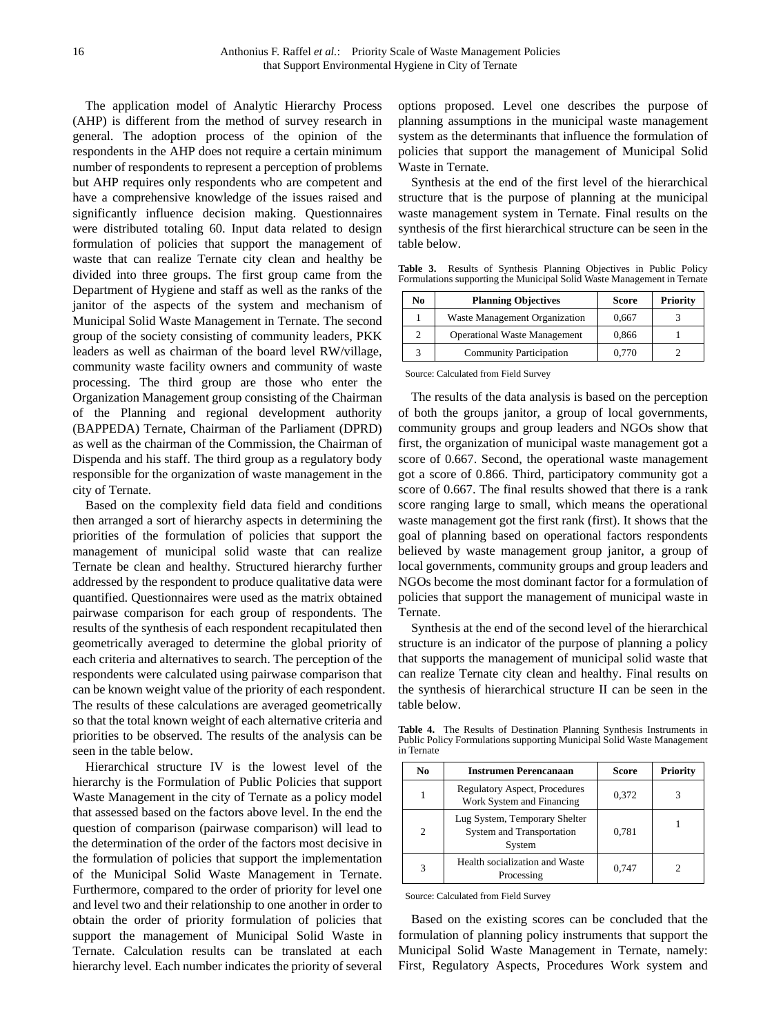The application model of Analytic Hierarchy Process (AHP) is different from the method of survey research in general. The adoption process of the opinion of the respondents in the AHP does not require a certain minimum number of respondents to represent a perception of problems but AHP requires only respondents who are competent and have a comprehensive knowledge of the issues raised and significantly influence decision making. Questionnaires were distributed totaling 60. Input data related to design formulation of policies that support the management of waste that can realize Ternate city clean and healthy be divided into three groups. The first group came from the Department of Hygiene and staff as well as the ranks of the janitor of the aspects of the system and mechanism of Municipal Solid Waste Management in Ternate. The second group of the society consisting of community leaders, PKK leaders as well as chairman of the board level RW/village, community waste facility owners and community of waste processing. The third group are those who enter the Organization Management group consisting of the Chairman of the Planning and regional development authority (BAPPEDA) Ternate, Chairman of the Parliament (DPRD) as well as the chairman of the Commission, the Chairman of Dispenda and his staff. The third group as a regulatory body responsible for the organization of waste management in the city of Ternate.

Based on the complexity field data field and conditions then arranged a sort of hierarchy aspects in determining the priorities of the formulation of policies that support the management of municipal solid waste that can realize Ternate be clean and healthy. Structured hierarchy further addressed by the respondent to produce qualitative data were quantified. Questionnaires were used as the matrix obtained pairwase comparison for each group of respondents. The results of the synthesis of each respondent recapitulated then geometrically averaged to determine the global priority of each criteria and alternatives to search. The perception of the respondents were calculated using pairwase comparison that can be known weight value of the priority of each respondent. The results of these calculations are averaged geometrically so that the total known weight of each alternative criteria and priorities to be observed. The results of the analysis can be seen in the table below.

Hierarchical structure IV is the lowest level of the hierarchy is the Formulation of Public Policies that support Waste Management in the city of Ternate as a policy model that assessed based on the factors above level. In the end the question of comparison (pairwase comparison) will lead to the determination of the order of the factors most decisive in the formulation of policies that support the implementation of the Municipal Solid Waste Management in Ternate. Furthermore, compared to the order of priority for level one and level two and their relationship to one another in order to obtain the order of priority formulation of policies that support the management of Municipal Solid Waste in Ternate. Calculation results can be translated at each hierarchy level. Each number indicates the priority of several

options proposed. Level one describes the purpose of planning assumptions in the municipal waste management system as the determinants that influence the formulation of policies that support the management of Municipal Solid Waste in Ternate.

Synthesis at the end of the first level of the hierarchical structure that is the purpose of planning at the municipal waste management system in Ternate. Final results on the synthesis of the first hierarchical structure can be seen in the table below.

**Table 3.** Results of Synthesis Planning Objectives in Public Policy Formulations supporting the Municipal Solid Waste Management in Ternate

| No | <b>Planning Objectives</b>          | Score | <b>Priority</b> |
|----|-------------------------------------|-------|-----------------|
|    | Waste Management Organization       | 0.667 |                 |
|    | <b>Operational Waste Management</b> | 0,866 |                 |
|    | <b>Community Participation</b>      | 0.770 |                 |

Source: Calculated from Field Survey

The results of the data analysis is based on the perception of both the groups janitor, a group of local governments, community groups and group leaders and NGOs show that first, the organization of municipal waste management got a score of 0.667. Second, the operational waste management got a score of 0.866. Third, participatory community got a score of 0.667. The final results showed that there is a rank score ranging large to small, which means the operational waste management got the first rank (first). It shows that the goal of planning based on operational factors respondents believed by waste management group janitor, a group of local governments, community groups and group leaders and NGOs become the most dominant factor for a formulation of policies that support the management of municipal waste in Ternate.

Synthesis at the end of the second level of the hierarchical structure is an indicator of the purpose of planning a policy that supports the management of municipal solid waste that can realize Ternate city clean and healthy. Final results on the synthesis of hierarchical structure II can be seen in the table below.

**Table 4.** The Results of Destination Planning Synthesis Instruments in Public Policy Formulations supporting Municipal Solid Waste Management in Ternate

| No                          | <b>Instrumen Perencanaan</b>                                         | Score | <b>Priority</b> |
|-----------------------------|----------------------------------------------------------------------|-------|-----------------|
|                             | <b>Regulatory Aspect, Procedures</b><br>Work System and Financing    | 0,372 |                 |
| $\mathcal{D}_{\mathcal{L}}$ | Lug System, Temporary Shelter<br>System and Transportation<br>System | 0.781 |                 |
| 3                           | Health socialization and Waste<br>Processing                         | 0.747 |                 |

Source: Calculated from Field Survey

Based on the existing scores can be concluded that the formulation of planning policy instruments that support the Municipal Solid Waste Management in Ternate, namely: First, Regulatory Aspects, Procedures Work system and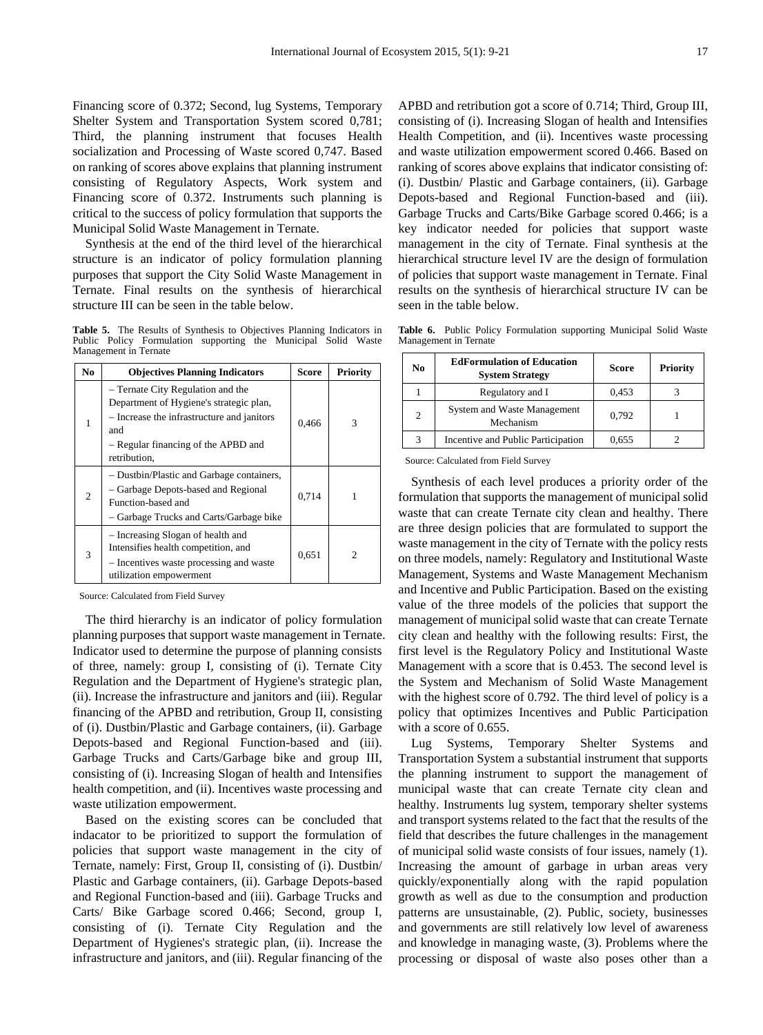Financing score of 0.372; Second, lug Systems, Temporary Shelter System and Transportation System scored 0,781; Third, the planning instrument that focuses Health socialization and Processing of Waste scored 0,747. Based on ranking of scores above explains that planning instrument consisting of Regulatory Aspects, Work system and Financing score of 0.372. Instruments such planning is critical to the success of policy formulation that supports the Municipal Solid Waste Management in Ternate.

Synthesis at the end of the third level of the hierarchical structure is an indicator of policy formulation planning purposes that support the City Solid Waste Management in Ternate. Final results on the synthesis of hierarchical structure III can be seen in the table below.

**Table 5.** The Results of Synthesis to Objectives Planning Indicators in Public Policy Formulation supporting the Municipal Solid Waste Management in Ternate

| No | <b>Objectives Planning Indicators</b>                                                                                                                                                    | <b>Score</b> | <b>Priority</b> |
|----|------------------------------------------------------------------------------------------------------------------------------------------------------------------------------------------|--------------|-----------------|
| 1  | - Ternate City Regulation and the<br>Department of Hygiene's strategic plan,<br>- Increase the infrastructure and janitors<br>and<br>- Regular financing of the APBD and<br>retribution, | 0,466        | 3               |
| 2  | - Dustbin/Plastic and Garbage containers,<br>- Garbage Depots-based and Regional<br>Function-based and<br>- Garbage Trucks and Carts/Garbage bike                                        | 0.714        | 1               |
| 3  | - Increasing Slogan of health and<br>Intensifies health competition, and<br>- Incentives waste processing and waste<br>utilization empowerment                                           | 0,651        | 2               |

Source: Calculated from Field Survey

The third hierarchy is an indicator of policy formulation planning purposes that support waste management in Ternate. Indicator used to determine the purpose of planning consists of three, namely: group I, consisting of (i). Ternate City Regulation and the Department of Hygiene's strategic plan, (ii). Increase the infrastructure and janitors and (iii). Regular financing of the APBD and retribution, Group II, consisting of (i). Dustbin/Plastic and Garbage containers, (ii). Garbage Depots-based and Regional Function-based and (iii). Garbage Trucks and Carts/Garbage bike and group III, consisting of (i). Increasing Slogan of health and Intensifies health competition, and (ii). Incentives waste processing and waste utilization empowerment.

Based on the existing scores can be concluded that indacator to be prioritized to support the formulation of policies that support waste management in the city of Ternate, namely: First, Group II, consisting of (i). Dustbin/ Plastic and Garbage containers, (ii). Garbage Depots-based and Regional Function-based and (iii). Garbage Trucks and Carts/ Bike Garbage scored 0.466; Second, group I, consisting of (i). Ternate City Regulation and the Department of Hygienes's strategic plan, (ii). Increase the infrastructure and janitors, and (iii). Regular financing of the

APBD and retribution got a score of 0.714; Third, Group III, consisting of (i). Increasing Slogan of health and Intensifies Health Competition, and (ii). Incentives waste processing and waste utilization empowerment scored 0.466. Based on ranking of scores above explains that indicator consisting of: (i). Dustbin/ Plastic and Garbage containers, (ii). Garbage Depots-based and Regional Function-based and (iii). Garbage Trucks and Carts/Bike Garbage scored 0.466; is a key indicator needed for policies that support waste management in the city of Ternate. Final synthesis at the hierarchical structure level IV are the design of formulation of policies that support waste management in Ternate. Final results on the synthesis of hierarchical structure IV can be seen in the table below.

**Table 6.** Public Policy Formulation supporting Municipal Solid Waste Management in Ternate

| No | <b>EdFormulation of Education</b><br><b>System Strategy</b> | Score | <b>Priority</b> |
|----|-------------------------------------------------------------|-------|-----------------|
|    | Regulatory and I                                            | 0,453 |                 |
| 2  | System and Waste Management<br>Mechanism                    | 0,792 |                 |
|    | Incentive and Public Participation                          | 0,655 |                 |

Source: Calculated from Field Survey

Synthesis of each level produces a priority order of the formulation that supports the management of municipal solid waste that can create Ternate city clean and healthy. There are three design policies that are formulated to support the waste management in the city of Ternate with the policy rests on three models, namely: Regulatory and Institutional Waste Management, Systems and Waste Management Mechanism and Incentive and Public Participation. Based on the existing value of the three models of the policies that support the management of municipal solid waste that can create Ternate city clean and healthy with the following results: First, the first level is the Regulatory Policy and Institutional Waste Management with a score that is 0.453. The second level is the System and Mechanism of Solid Waste Management with the highest score of 0.792. The third level of policy is a policy that optimizes Incentives and Public Participation with a score of 0.655.

Lug Systems, Temporary Shelter Systems and Transportation System a substantial instrument that supports the planning instrument to support the management of municipal waste that can create Ternate city clean and healthy. Instruments lug system, temporary shelter systems and transport systems related to the fact that the results of the field that describes the future challenges in the management of municipal solid waste consists of four issues, namely (1). Increasing the amount of garbage in urban areas very quickly/exponentially along with the rapid population growth as well as due to the consumption and production patterns are unsustainable, (2). Public, society, businesses and governments are still relatively low level of awareness and knowledge in managing waste, (3). Problems where the processing or disposal of waste also poses other than a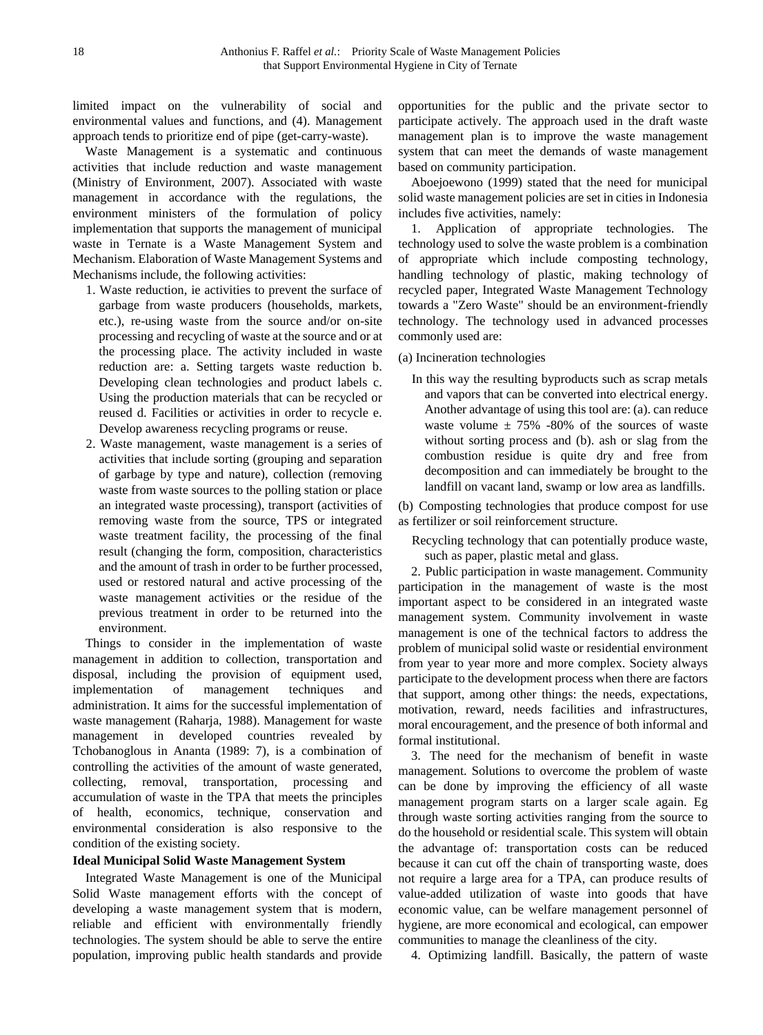limited impact on the vulnerability of social and environmental values and functions, and (4). Management approach tends to prioritize end of pipe (get-carry-waste).

Waste Management is a systematic and continuous activities that include reduction and waste management (Ministry of Environment, 2007). Associated with waste management in accordance with the regulations, the environment ministers of the formulation of policy implementation that supports the management of municipal waste in Ternate is a Waste Management System and Mechanism. Elaboration of Waste Management Systems and Mechanisms include, the following activities:

- 1. Waste reduction, ie activities to prevent the surface of garbage from waste producers (households, markets, etc.), re-using waste from the source and/or on-site processing and recycling of waste at the source and or at the processing place. The activity included in waste reduction are: a. Setting targets waste reduction b. Developing clean technologies and product labels c. Using the production materials that can be recycled or reused d. Facilities or activities in order to recycle e. Develop awareness recycling programs or reuse.
- 2. Waste management, waste management is a series of activities that include sorting (grouping and separation of garbage by type and nature), collection (removing waste from waste sources to the polling station or place an integrated waste processing), transport (activities of removing waste from the source, TPS or integrated waste treatment facility, the processing of the final result (changing the form, composition, characteristics and the amount of trash in order to be further processed, used or restored natural and active processing of the waste management activities or the residue of the previous treatment in order to be returned into the environment.

Things to consider in the implementation of waste management in addition to collection, transportation and disposal, including the provision of equipment used, implementation of management techniques and administration. It aims for the successful implementation of waste management (Raharja, 1988). Management for waste management in developed countries revealed by Tchobanoglous in Ananta (1989: 7), is a combination of controlling the activities of the amount of waste generated, collecting, removal, transportation, processing and accumulation of waste in the TPA that meets the principles of health, economics, technique, conservation and environmental consideration is also responsive to the condition of the existing society.

#### **Ideal Municipal Solid Waste Management System**

Integrated Waste Management is one of the Municipal Solid Waste management efforts with the concept of developing a waste management system that is modern, reliable and efficient with environmentally friendly technologies. The system should be able to serve the entire population, improving public health standards and provide

opportunities for the public and the private sector to participate actively. The approach used in the draft waste management plan is to improve the waste management system that can meet the demands of waste management based on community participation.

Aboejoewono (1999) stated that the need for municipal solid waste management policies are set in cities in Indonesia includes five activities, namely:

1. Application of appropriate technologies. The technology used to solve the waste problem is a combination of appropriate which include composting technology, handling technology of plastic, making technology of recycled paper, Integrated Waste Management Technology towards a "Zero Waste" should be an environment-friendly technology. The technology used in advanced processes commonly used are:

(a) Incineration technologies

In this way the resulting byproducts such as scrap metals and vapors that can be converted into electrical energy. Another advantage of using this tool are: (a). can reduce waste volume  $\pm 75\%$  -80% of the sources of waste without sorting process and (b). ash or slag from the combustion residue is quite dry and free from decomposition and can immediately be brought to the landfill on vacant land, swamp or low area as landfills.

(b) Composting technologies that produce compost for use as fertilizer or soil reinforcement structure.

Recycling technology that can potentially produce waste, such as paper, plastic metal and glass.

2. Public participation in waste management. Community participation in the management of waste is the most important aspect to be considered in an integrated waste management system. Community involvement in waste management is one of the technical factors to address the problem of municipal solid waste or residential environment from year to year more and more complex. Society always participate to the development process when there are factors that support, among other things: the needs, expectations, motivation, reward, needs facilities and infrastructures, moral encouragement, and the presence of both informal and formal institutional.

3. The need for the mechanism of benefit in waste management. Solutions to overcome the problem of waste can be done by improving the efficiency of all waste management program starts on a larger scale again. Eg through waste sorting activities ranging from the source to do the household or residential scale. This system will obtain the advantage of: transportation costs can be reduced because it can cut off the chain of transporting waste, does not require a large area for a TPA, can produce results of value-added utilization of waste into goods that have economic value, can be welfare management personnel of hygiene, are more economical and ecological, can empower communities to manage the cleanliness of the city.

4. Optimizing landfill. Basically, the pattern of waste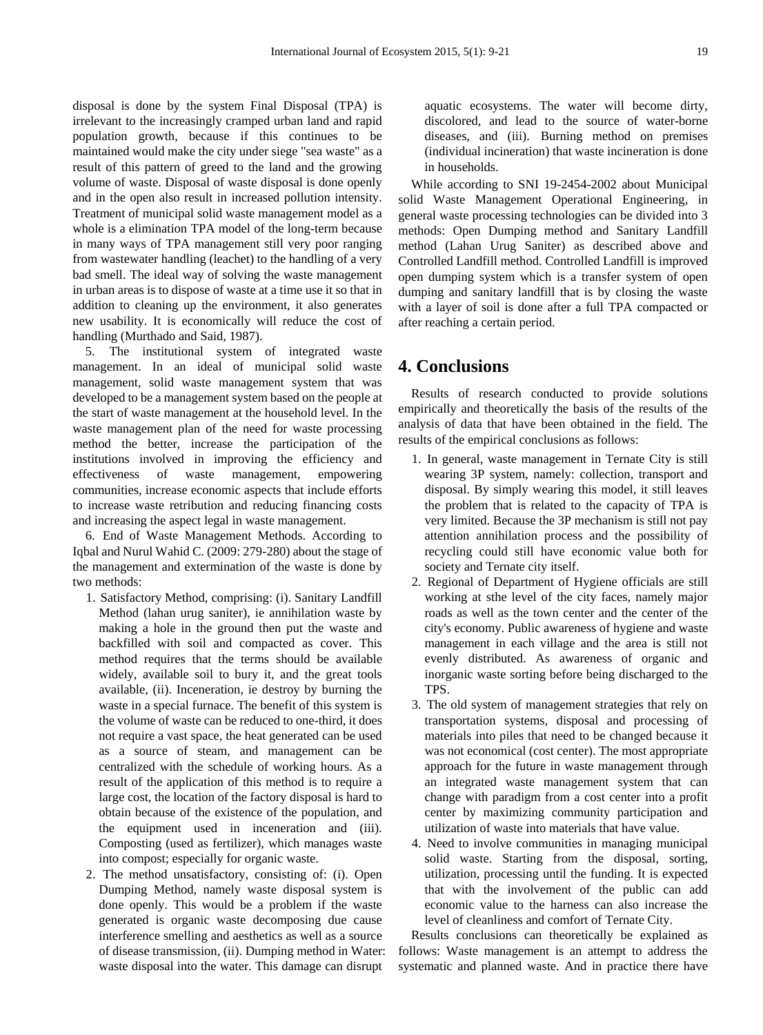disposal is done by the system Final Disposal (TPA) is irrelevant to the increasingly cramped urban land and rapid population growth, because if this continues to be maintained would make the city under siege "sea waste" as a result of this pattern of greed to the land and the growing volume of waste. Disposal of waste disposal is done openly and in the open also result in increased pollution intensity. Treatment of municipal solid waste management model as a whole is a elimination TPA model of the long-term because in many ways of TPA management still very poor ranging from wastewater handling (leachet) to the handling of a very bad smell. The ideal way of solving the waste management in urban areas is to dispose of waste at a time use it so that in addition to cleaning up the environment, it also generates new usability. It is economically will reduce the cost of handling (Murthado and Said, 1987).

5. The institutional system of integrated waste management. In an ideal of municipal solid waste management, solid waste management system that was developed to be a management system based on the people at the start of waste management at the household level. In the waste management plan of the need for waste processing method the better, increase the participation of the institutions involved in improving the efficiency and effectiveness of waste management, empowering communities, increase economic aspects that include efforts to increase waste retribution and reducing financing costs and increasing the aspect legal in waste management.

6. End of Waste Management Methods. According to Iqbal and Nurul Wahid C. (2009: 279-280) about the stage of the management and extermination of the waste is done by two methods:

- 1. Satisfactory Method, comprising: (i). Sanitary Landfill Method (lahan urug saniter), ie annihilation waste by making a hole in the ground then put the waste and backfilled with soil and compacted as cover. This method requires that the terms should be available widely, available soil to bury it, and the great tools available, (ii). Inceneration, ie destroy by burning the waste in a special furnace. The benefit of this system is the volume of waste can be reduced to one-third, it does not require a vast space, the heat generated can be used as a source of steam, and management can be centralized with the schedule of working hours. As a result of the application of this method is to require a large cost, the location of the factory disposal is hard to obtain because of the existence of the population, and the equipment used in inceneration and (iii). Composting (used as fertilizer), which manages waste into compost; especially for organic waste.
- 2. The method unsatisfactory, consisting of: (i). Open Dumping Method, namely waste disposal system is done openly. This would be a problem if the waste generated is organic waste decomposing due cause interference smelling and aesthetics as well as a source of disease transmission, (ii). Dumping method in Water: waste disposal into the water. This damage can disrupt

aquatic ecosystems. The water will become dirty, discolored, and lead to the source of water-borne diseases, and (iii). Burning method on premises (individual incineration) that waste incineration is done in households.

While according to SNI 19-2454-2002 about Municipal solid Waste Management Operational Engineering, in general waste processing technologies can be divided into 3 methods: Open Dumping method and Sanitary Landfill method (Lahan Urug Saniter) as described above and Controlled Landfill method. Controlled Landfill is improved open dumping system which is a transfer system of open dumping and sanitary landfill that is by closing the waste with a layer of soil is done after a full TPA compacted or after reaching a certain period.

## **4. Conclusions**

Results of research conducted to provide solutions empirically and theoretically the basis of the results of the analysis of data that have been obtained in the field. The results of the empirical conclusions as follows:

- 1. In general, waste management in Ternate City is still wearing 3P system, namely: collection, transport and disposal. By simply wearing this model, it still leaves the problem that is related to the capacity of TPA is very limited. Because the 3P mechanism is still not pay attention annihilation process and the possibility of recycling could still have economic value both for society and Ternate city itself.
- 2. Regional of Department of Hygiene officials are still working at sthe level of the city faces, namely major roads as well as the town center and the center of the city's economy. Public awareness of hygiene and waste management in each village and the area is still not evenly distributed. As awareness of organic and inorganic waste sorting before being discharged to the TPS.
- 3. The old system of management strategies that rely on transportation systems, disposal and processing of materials into piles that need to be changed because it was not economical (cost center). The most appropriate approach for the future in waste management through an integrated waste management system that can change with paradigm from a cost center into a profit center by maximizing community participation and utilization of waste into materials that have value.
- 4. Need to involve communities in managing municipal solid waste. Starting from the disposal, sorting, utilization, processing until the funding. It is expected that with the involvement of the public can add economic value to the harness can also increase the level of cleanliness and comfort of Ternate City.

Results conclusions can theoretically be explained as follows: Waste management is an attempt to address the systematic and planned waste. And in practice there have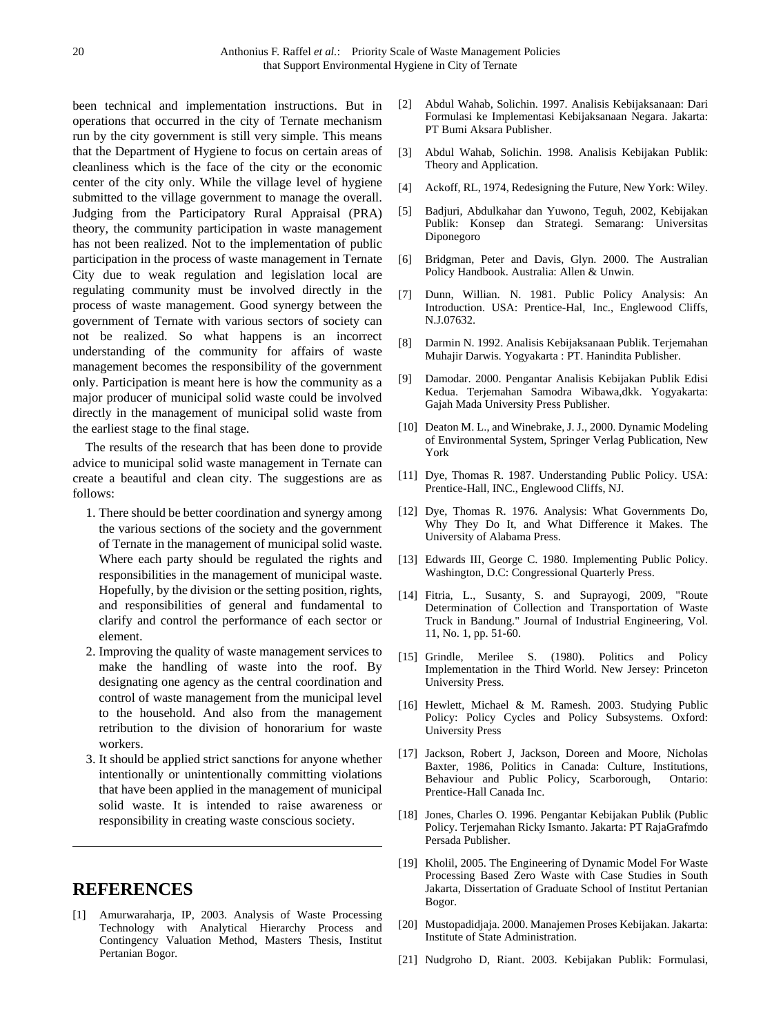been technical and implementation instructions. But in operations that occurred in the city of Ternate mechanism run by the city government is still very simple. This means that the Department of Hygiene to focus on certain areas of cleanliness which is the face of the city or the economic center of the city only. While the village level of hygiene submitted to the village government to manage the overall. Judging from the Participatory Rural Appraisal (PRA) theory, the community participation in waste management has not been realized. Not to the implementation of public participation in the process of waste management in Ternate City due to weak regulation and legislation local are regulating community must be involved directly in the process of waste management. Good synergy between the government of Ternate with various sectors of society can not be realized. So what happens is an incorrect understanding of the community for affairs of waste management becomes the responsibility of the government only. Participation is meant here is how the community as a major producer of municipal solid waste could be involved directly in the management of municipal solid waste from the earliest stage to the final stage.

The results of the research that has been done to provide advice to municipal solid waste management in Ternate can create a beautiful and clean city. The suggestions are as follows:

- 1. There should be better coordination and synergy among the various sections of the society and the government of Ternate in the management of municipal solid waste. Where each party should be regulated the rights and responsibilities in the management of municipal waste. Hopefully, by the division or the setting position, rights, and responsibilities of general and fundamental to clarify and control the performance of each sector or element.
- 2. Improving the quality of waste management services to make the handling of waste into the roof. By designating one agency as the central coordination and control of waste management from the municipal level to the household. And also from the management retribution to the division of honorarium for waste workers.
- 3. It should be applied strict sanctions for anyone whether intentionally or unintentionally committing violations that have been applied in the management of municipal solid waste. It is intended to raise awareness or responsibility in creating waste conscious society.

## **REFERENCES**

[1] Amurwaraharja, IP, 2003. Analysis of Waste Processing Technology with Analytical Hierarchy Process and Contingency Valuation Method, Masters Thesis, Institut Pertanian Bogor.

- [2] Abdul Wahab, Solichin. 1997. Analisis Kebijaksanaan: Dari Formulasi ke Implementasi Kebijaksanaan Negara. Jakarta: PT Bumi Aksara Publisher.
- [3] Abdul Wahab, Solichin. 1998. Analisis Kebijakan Publik: Theory and Application.
- [4] Ackoff, RL, 1974, Redesigning the Future, New York: Wiley.
- [5] Badjuri, Abdulkahar dan Yuwono, Teguh, 2002, Kebijakan Publik: Konsep dan Strategi. Semarang: Universitas Diponegoro
- [6] Bridgman, Peter and Davis, Glyn. 2000. The Australian Policy Handbook. Australia: Allen & Unwin.
- [7] Dunn, Willian. N. 1981. Public Policy Analysis: An Introduction. USA: Prentice-Hal, Inc., Englewood Cliffs, N.J.07632.
- [8] Darmin N. 1992. Analisis Kebijaksanaan Publik. Terjemahan Muhajir Darwis. Yogyakarta : PT. Hanindita Publisher.
- [9] Damodar. 2000. Pengantar Analisis Kebijakan Publik Edisi Kedua. Terjemahan Samodra Wibawa,dkk. Yogyakarta: Gajah Mada University Press Publisher.
- [10] Deaton M. L., and Winebrake, J. J., 2000. Dynamic Modeling of Environmental System, Springer Verlag Publication, New York
- [11] Dye, Thomas R. 1987. Understanding Public Policy. USA: Prentice-Hall, INC., Englewood Cliffs, NJ.
- [12] Dye, Thomas R. 1976. Analysis: What Governments Do, Why They Do It, and What Difference it Makes. The University of Alabama Press.
- [13] Edwards III, George C. 1980. Implementing Public Policy. Washington, D.C: Congressional Quarterly Press.
- [14] Fitria, L., Susanty, S. and Suprayogi, 2009, "Route Determination of Collection and Transportation of Waste Truck in Bandung." Journal of Industrial Engineering, Vol. 11, No. 1, pp. 51-60.
- [15] Grindle, Merilee S. (1980). Politics and Policy Implementation in the Third World. New Jersey: Princeton University Press.
- [16] Hewlett, Michael & M. Ramesh. 2003. Studying Public Policy: Policy Cycles and Policy Subsystems. Oxford: University Press
- [17] Jackson, Robert J, Jackson, Doreen and Moore, Nicholas Baxter, 1986, Politics in Canada: Culture, Institutions, Behaviour and Public Policy, Scarborough, Ontario: Prentice-Hall Canada Inc.
- [18] Jones, Charles O. 1996. Pengantar Kebijakan Publik (Public Policy. Terjemahan Ricky Ismanto. Jakarta: PT RajaGrafmdo Persada Publisher.
- [19] Kholil, 2005. The Engineering of Dynamic Model For Waste Processing Based Zero Waste with Case Studies in South Jakarta, Dissertation of Graduate School of Institut Pertanian Bogor.
- [20] Mustopadidjaja. 2000. Manajemen Proses Kebijakan. Jakarta: Institute of State Administration.
- [21] Nudgroho D, Riant. 2003. Kebijakan Publik: Formulasi,